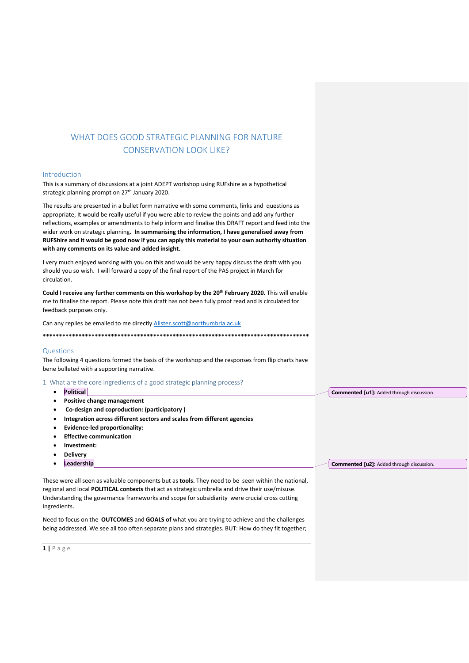# WHAT DOES GOOD STRATEGIC PLANNING FOR NATURE CONSERVATION LOOK LIKE?

### Introduction

This is a summary of discussions at a joint ADEPT workshop using RUFshire as a hypothetical strategic planning prompt on 27<sup>th</sup> January 2020.

The results are presented in a bullet form narrative with some comments, links and questions as appropriate, It would be really useful if you were able to review the points and add any further reflections, examples or amendments to help inform and finalise this DRAFT report and feed into the wider work on strategic planning**. In summarising the information, I have generalised away from RUFShire and it would be good now if you can apply this material to your own authority situation with any comments on its value and added insight.** 

I very much enjoyed working with you on this and would be very happy discuss the draft with you should you so wish. I will forward a copy of the final report of the PAS project in March for circulation.

**Could I receive any further comments on this workshop by the 20th February 2020.** This will enable me to finalise the report. Please note this draft has not been fully proof read and is circulated for feedback purposes only.

Can any replies be emailed to me directly [Alister.scott@northumbria.ac.uk](mailto:Alister.scott@northumbria.ac.uk)

**\*\*\*\*\*\*\*\*\*\*\*\*\*\*\*\*\*\*\*\*\*\*\*\*\*\*\*\*\*\*\*\*\*\*\*\*\*\*\*\*\*\*\*\*\*\*\*\*\*\*\*\*\*\*\*\*\*\*\*\*\*\*\*\*\*\*\*\*\*\*\*\*\*\*\*\*\*\*\*\*\*\***

### Questions

The following 4 questions formed the basis of the workshop and the responses from flip charts have bene bulleted with a supporting narrative.

1 What are the core ingredients of a good strategic planning process?

- **Political**
- **Positive change management**
- **Co-design and coproduction: (participatory )**
- **Integration across different sectors and scales from different agencies**
- **Evidence-led proportionality:**
- **Effective communication**
- **Investment:**
- **Delivery**
- **Leadership**

These were all seen as valuable components but as **tools.** They need to be seen within the national, regional and local **POLITICAL contexts** that act as strategic umbrella and drive their use/misuse. Understanding the governance frameworks and scope for subsidiarity were crucial cross cutting ingredients.

Need to focus on the **OUTCOMES** and **GOALS of** what you are trying to achieve and the challenges being addressed. We see all too often separate plans and strategies. BUT: How do they fit together;

**1 |** P a g e

**Commented [u1]:** Added through discussion

**Commented [u2]:** Added through discussion.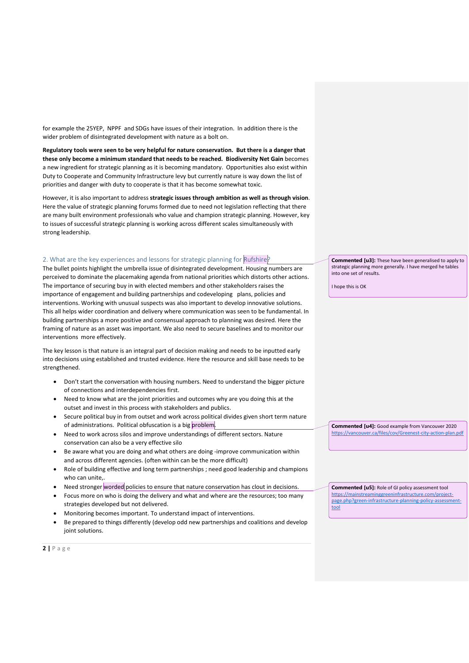for example the 25YEP, NPPF and SDGs have issues of their integration. In addition there is the wider problem of disintegrated development with nature as a bolt on.

**Regulatory tools were seen to be very helpful for nature conservation. But there is a danger that these only become a minimum standard that needs to be reached. Biodiversity Net Gain** becomes a new ingredient for strategic planning as it is becoming mandatory. Opportunities also exist within Duty to Cooperate and Community Infrastructure levy but currently nature is way down the list of priorities and danger with duty to cooperate is that it has become somewhat toxic.

However, it is also important to address **strategic issues through ambition as well as through vision**. Here the value of strategic planning forums formed due to need not legislation reflecting that there are many built environment professionals who value and champion strategic planning. However, key to issues of successful strategic planning is working across different scales simultaneously with strong leadership.

# 2. What are the key experiences and lessons for strategic planning for Rufshire?

The bullet points highlight the umbrella issue of disintegrated development. Housing numbers are perceived to dominate the placemaking agenda from national priorities which distorts other actions. The importance of securing buy in with elected members and other stakeholders raises the importance of engagement and building partnerships and codeveloping plans, policies and interventions. Working with unusual suspects was also important to develop innovative solutions. This all helps wider coordination and delivery where communication was seen to be fundamental. In building partnerships a more positive and consensual approach to planning was desired. Here the framing of nature as an asset was important. We also need to secure baselines and to monitor our interventions more effectively.

The key lesson is that nature is an integral part of decision making and needs to be inputted early into decisions using established and trusted evidence. Here the resource and skill base needs to be strengthened.

- Don't start the conversation with housing numbers. Need to understand the bigger picture of connections and interdependencies first.
- Need to know what are the joint priorities and outcomes why are you doing this at the outset and invest in this process with stakeholders and publics.
- Secure political buy in from outset and work across political divides given short term nature of administrations. Political obfuscation is a big problem.
- Need to work across silos and improve understandings of different sectors. Nature conservation can also be a very effective silo
- Be aware what you are doing and what others are doing -improve communication within and across different agencies. (often within can be the more difficult)
- Role of building effective and long term partnerships ; need good leadership and champions who can unite..
- Need stronger worded policies to ensure that nature conservation has clout in decisions.
- Focus more on who is doing the delivery and what and where are the resources; too many strategies developed but not delivered.
- Monitoring becomes important. To understand impact of interventions.
- Be prepared to things differently (develop odd new partnerships and coalitions and develop joint solutions.

**Commented [u3]:** These have been generalised to apply to strategic planning more generally. I have merged he tables into one set of results.

I hope this is OK

**Commented [u4]:** Good example from Vancouver 2020 <https://vancouver.ca/files/cov/Greenest-city-action-plan.pdf>

**Commented [u5]:** Role of GI policy assessment tool

[https://mainstreaminggreeninfrastructure.com/project](https://mainstreaminggreeninfrastructure.com/project-page.php?green-infrastructure-planning-policy-assessment-tool)[page.php?green-infrastructure-planning-policy-assessment](https://mainstreaminggreeninfrastructure.com/project-page.php?green-infrastructure-planning-policy-assessment-tool)[tool](https://mainstreaminggreeninfrastructure.com/project-page.php?green-infrastructure-planning-policy-assessment-tool)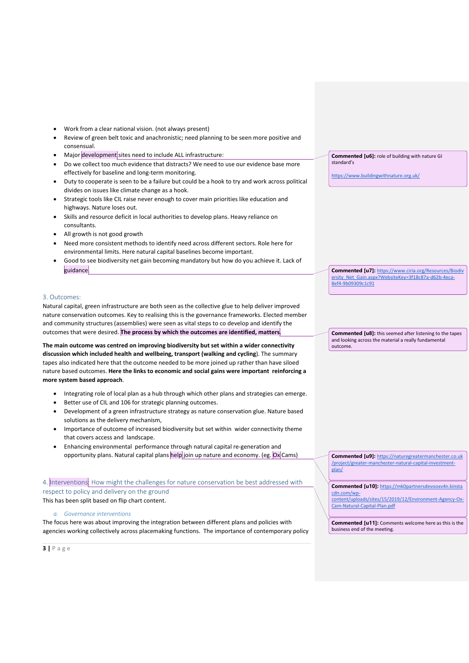- Work from a clear national vision. (not always present)
- Review of green belt toxic and anachronistic; need planning to be seen more positive and consensual.
- Major development sites need to include ALL infrastructure:
- Do we collect too much evidence that distracts? We need to use our evidence base more effectively for baseline and long-term monitoring.
- Duty to cooperate is seen to be a failure but could be a hook to try and work across political divides on issues like climate change as a hook.
- Strategic tools like CIL raise never enough to cover main priorities like education and highways. Nature loses out.
- Skills and resource deficit in local authorities to develop plans. Heavy reliance on consultants.
- All growth is not good growth
- Need more consistent methods to identify need across different sectors. Role here for environmental limits. Here natural capital baselines become important.
- Good to see biodiversity net gain becoming mandatory but how do you achieve it. Lack of guidance.

### 3. Outcomes:

Natural capital, green infrastructure are both seen as the collective glue to help deliver improved nature conservation outcomes. Key to realising this is the governance frameworks. Elected member and community structures (assemblies) were seen as vital steps to co develop and identify the outcomes that were desired. **The process by which the outcomes are identified, matters**.

**The main outcome was centred on improving biodiversity but set within a wider connectivity discussion which included health and wellbeing, transport (walking and cycling**). The summary tapes also indicated here that the outcome needed to be more joined up rather than have siloed nature based outcomes. **Here the links to economic and social gains were important reinforcing a more system based approach**.

- Integrating role of local plan as a hub through which other plans and strategies can emerge.
- Better use of CIL and 106 for strategic planning outcomes.
- Development of a green infrastructure strategy as nature conservation glue. Nature based solutions as the delivery mechanism,
- Importance of outcome of increased biodiversity but set within wider connectivity theme that covers access and landscape.
- Enhancing environmental performance through natural capital re-generation and opportunity plans. Natural capital plans help join up nature and economy. (eg. Ox Cams)

4. Interventions: How might the challenges for nature conservation be best addressed with respect to policy and delivery on the ground This has been split based on flip chart content.

*a. Governance interventions*

The focus here was about improving the integration between different plans and policies with agencies working collectively across placemaking functions. The importance of contemporary policy **Commented [u6]:** role of building with nature GI standard's

<https://www.buildingwithnature.org.uk/>

**Commented [u7]:** [https://www.ciria.org/Resources/Biodiv](https://www.ciria.org/Resources/Biodiversity_Net_Gain.aspx?WebsiteKey=3f18c87a-d62b-4eca-8ef4-9b09309c1c91) [ersity\\_Net\\_Gain.aspx?WebsiteKey=3f18c87a-d62b-4eca-](https://www.ciria.org/Resources/Biodiversity_Net_Gain.aspx?WebsiteKey=3f18c87a-d62b-4eca-8ef4-9b09309c1c91)[8ef4-9b09309c1c91](https://www.ciria.org/Resources/Biodiversity_Net_Gain.aspx?WebsiteKey=3f18c87a-d62b-4eca-8ef4-9b09309c1c91)

**Commented [u8]:** this seemed after listening to the tapes and looking across the material a really fundamental outcome.

**Commented [u9]:** [https://naturegreatermanchester.co.uk](https://naturegreatermanchester.co.uk/project/greater-manchester-natural-capital-investment-plan/) [/project/greater-manchester-natural-capital-investment](https://naturegreatermanchester.co.uk/project/greater-manchester-natural-capital-investment-plan/)[plan/](https://naturegreatermanchester.co.uk/project/greater-manchester-natural-capital-investment-plan/)

**Commented [u10]:** [https://mk0partnersdevooxv4n.kinsta](https://mk0partnersdevooxv4n.kinstacdn.com/wp-content/uploads/sites/15/2019/12/Environment-Agency-Ox-Cam-Natural-Capital-Plan.pdf) [cdn.com/wp](https://mk0partnersdevooxv4n.kinstacdn.com/wp-content/uploads/sites/15/2019/12/Environment-Agency-Ox-Cam-Natural-Capital-Plan.pdf)[content/uploads/sites/15/2019/12/Environment-Agency-Ox-](https://mk0partnersdevooxv4n.kinstacdn.com/wp-content/uploads/sites/15/2019/12/Environment-Agency-Ox-Cam-Natural-Capital-Plan.pdf)

[Cam-Natural-Capital-Plan.pdf](https://mk0partnersdevooxv4n.kinstacdn.com/wp-content/uploads/sites/15/2019/12/Environment-Agency-Ox-Cam-Natural-Capital-Plan.pdf)

**Commented [u11]:** Comments welcome here as this is the business end of the meeting.

**3 |** P a g e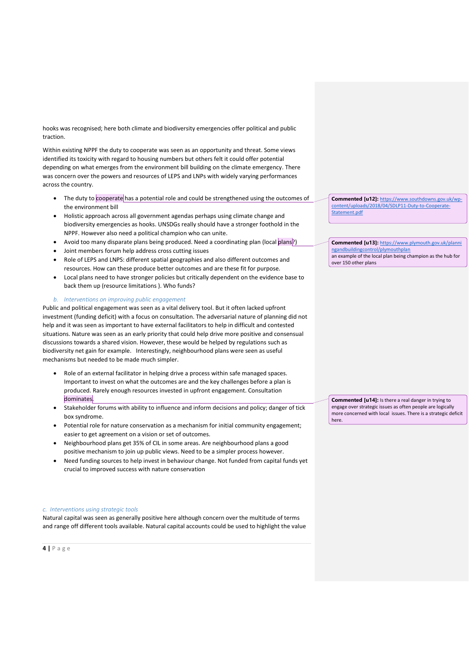hooks was recognised; here both climate and biodiversity emergencies offer political and public traction.

Within existing NPPF the duty to cooperate was seen as an opportunity and threat. Some views identified its toxicity with regard to housing numbers but others felt it could offer potential depending on what emerges from the environment bill building on the climate emergency. There was concern over the powers and resources of LEPS and LNPs with widely varying performances across the country.

- The duty to cooperate has a potential role and could be strengthened using the outcomes of the environment bill
- Holistic approach across all government agendas perhaps using climate change and biodiversity emergencies as hooks. UNSDGs really should have a stronger foothold in the NPPF. However also need a political champion who can unite.
- Avoid too many disparate plans being produced. Need a coordinating plan (local plans?)
- Joint members forum help address cross cutting issues
- Role of LEPS and LNPS: different spatial geographies and also different outcomes and resources. How can these produce better outcomes and are these fit for purpose.
- Local plans need to have stronger policies but critically dependent on the evidence base to back them up (resource limitations ). Who funds?

#### *b. Interventions on improving public engagement*

Public and political engagement was seen as a vital delivery tool. But it often lacked upfront investment (funding deficit) with a focus on consultation. The adversarial nature of planning did not help and it was seen as important to have external facilitators to help in difficult and contested situations. Nature was seen as an early priority that could help drive more positive and consensual discussions towards a shared vision. However, these would be helped by regulations such as biodiversity net gain for example. Interestingly, neighbourhood plans were seen as useful mechanisms but needed to be made much simpler.

- Role of an external facilitator in helping drive a process within safe managed spaces. Important to invest on what the outcomes are and the key challenges before a plan is produced. Rarely enough resources invested in upfront engagement. Consultation dominates.
- Stakeholder forums with ability to influence and inform decisions and policy; danger of tick box syndrome.
- Potential role for nature conservation as a mechanism for initial community engagement; easier to get agreement on a vision or set of outcomes.
- Neighbourhood plans get 35% of CIL in some areas. Are neighbourhood plans a good positive mechanism to join up public views. Need to be a simpler process however.
- Need funding sources to help invest in behaviour change. Not funded from capital funds yet crucial to improved success with nature conservation

#### *c. Interventions using strategic tools*

Natural capital was seen as generally positive here although concern over the multitude of terms and range off different tools available. Natural capital accounts could be used to highlight the value **Commented [u12]:** [https://www.southdowns.gov.uk/wp](https://www.southdowns.gov.uk/wp-content/uploads/2018/04/SDLP11-Duty-to-Cooperate-Statement.pdf)[content/uploads/2018/04/SDLP11-Duty-to-Cooperate-](https://www.southdowns.gov.uk/wp-content/uploads/2018/04/SDLP11-Duty-to-Cooperate-Statement.pdf)[Statement.pdf](https://www.southdowns.gov.uk/wp-content/uploads/2018/04/SDLP11-Duty-to-Cooperate-Statement.pdf)

**Commented [u13]:** [https://www.plymouth.gov.uk/planni](https://www.plymouth.gov.uk/planningandbuildingcontrol/plymouthplan) [ngandbuildingcontrol/plymouthplan](https://www.plymouth.gov.uk/planningandbuildingcontrol/plymouthplan) an example of the local plan being champion as the hub for over 150 other plans

**Commented [u14]:** Is there a real danger in trying to engage over strategic issues as often people are logically more concerned with local issues. There is a strategic deficit here.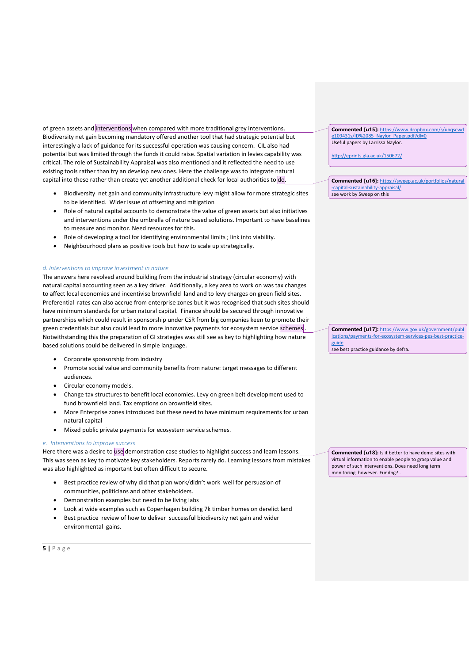of green assets and interventions when compared with more traditional grey interventions. Biodiversity net gain becoming mandatory offered another tool that had strategic potential but interestingly a lack of guidance for its successful operation was causing concern. CIL also had potential but was limited through the funds it could raise. Spatial variation in levies capability was critical. The role of Sustainability Appraisal was also mentioned and it reflected the need to use existing tools rather than try an develop new ones. Here the challenge was to integrate natural capital into these rather than create yet another additional check for local authorities to do**.** 

- Biodiversity net gain and community infrastructure levy might allow for more strategic sites to be identified. Wider issue of offsetting and mitigation
- Role of natural capital accounts to demonstrate the value of green assets but also initiatives and interventions under the umbrella of nature based solutions. Important to have baselines to measure and monitor. Need resources for this.
- Role of developing a tool for identifying environmental limits ; link into viability.
- Neighbourhood plans as positive tools but how to scale up strategically.

### *d. Interventions to improve investment in nature*

The answers here revolved around building from the industrial strategy (circular economy) with natural capital accounting seen as a key driver. Additionally, a key area to work on was tax changes to affect local economies and incentivise brownfield land and to levy charges on green field sites. Preferential rates can also accrue from enterprise zones but it was recognised that such sites should have minimum standards for urban natural capital. Finance should be secured through innovative partnerships which could result in sponsorship under CSR from big companies keen to promote their green credentials but also could lead to more innovative payments for ecosystem service schemes . Notwithstanding this the preparation of GI strategies was still see as key to highlighting how nature based solutions could be delivered in simple language.

- Corporate sponsorship from industry
- Promote social value and community benefits from nature: target messages to different audiences.
- Circular economy models.
- Change tax structures to benefit local economies. Levy on green belt development used to fund brownfield land. Tax emptions on brownfield sites.
- More Enterprise zones introduced but these need to have minimum requirements for urban natural capital
- Mixed public private payments for ecosystem service schemes.

## *e.. Interventions to improve success*

Here there was a desire to use demonstration case studies to highlight success and learn lessons. This was seen as key to motivate key stakeholders. Reports rarely do. Learning lessons from mistakes was also highlighted as important but often difficult to secure.

- Best practice review of why did that plan work/didn't work well for persuasion of communities, politicians and other stakeholders.
- Demonstration examples but need to be living labs
- Look at wide examples such as Copenhagen building 7k timber homes on derelict land
- Best practice review of how to deliver successful biodiversity net gain and wider environmental gains.

**5 |** P a g e

**Commented [u15]:** [https://www.dropbox.com/s/ubqscwd](https://www.dropbox.com/s/ubqscwde109431s/ID%2085_Naylor_Paper.pdf?dl=0) [e109431s/ID%2085\\_Naylor\\_Paper.pdf?dl=0](https://www.dropbox.com/s/ubqscwde109431s/ID%2085_Naylor_Paper.pdf?dl=0) Useful papers by Larrissa Naylor.

<http://eprints.gla.ac.uk/150672/>

**Commented [u16]:** [https://sweep.ac.uk/portfolios/natural](https://sweep.ac.uk/portfolios/natural-capital-sustainability-appraisal/) [-capital-sustainability-appraisal/](https://sweep.ac.uk/portfolios/natural-capital-sustainability-appraisal/) see work by Sweep on this

**Commented [u17]:** [https://www.gov.uk/government/publ](https://www.gov.uk/government/publications/payments-for-ecosystem-services-pes-best-practice-guide) [ications/payments-for-ecosystem-services-pes-best-practice](https://www.gov.uk/government/publications/payments-for-ecosystem-services-pes-best-practice-guide)[guide](https://www.gov.uk/government/publications/payments-for-ecosystem-services-pes-best-practice-guide)

see best practice guidance by defra.

**Commented [u18]:** Is it better to have demo sites with virtual information to enable people to grasp value and power of such interventions. Does need long term .<br>monitoring however. Fundng? .